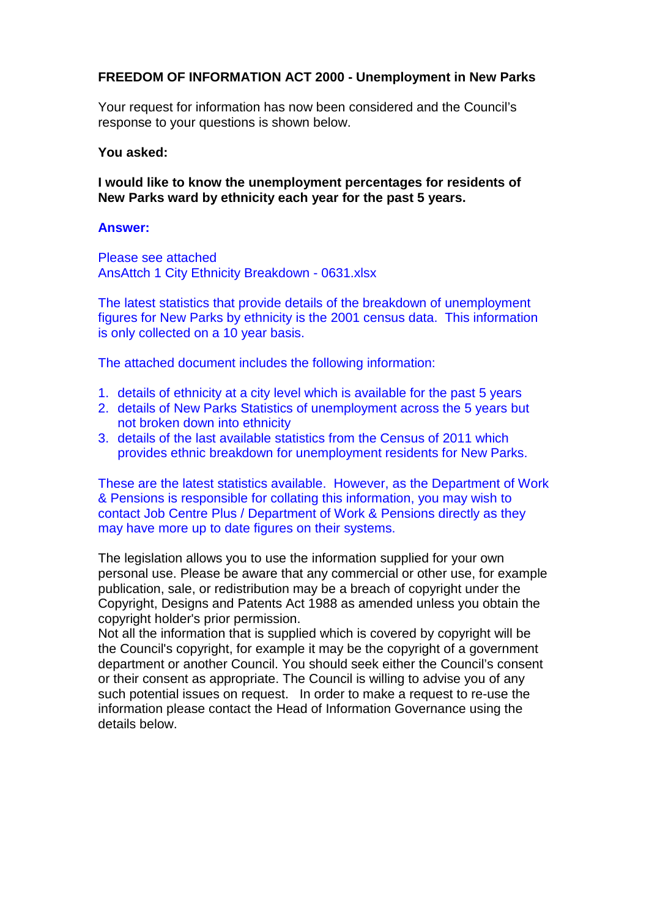## **FREEDOM OF INFORMATION ACT 2000 - Unemployment in New Parks**

Your request for information has now been considered and the Council's response to your questions is shown below.

## **You asked:**

**I would like to know the unemployment percentages for residents of New Parks ward by ethnicity each year for the past 5 years.**

## **Answer:**

Please see attached AnsAttch 1 City Ethnicity Breakdown - 0631.xlsx

The latest statistics that provide details of the breakdown of unemployment figures for New Parks by ethnicity is the 2001 census data. This information is only collected on a 10 year basis.

The attached document includes the following information:

- 1. details of ethnicity at a city level which is available for the past 5 years
- 2. details of New Parks Statistics of unemployment across the 5 years but not broken down into ethnicity
- 3. details of the last available statistics from the Census of 2011 which provides ethnic breakdown for unemployment residents for New Parks.

These are the latest statistics available. However, as the Department of Work & Pensions is responsible for collating this information, you may wish to contact Job Centre Plus / Department of Work & Pensions directly as they may have more up to date figures on their systems.

The legislation allows you to use the information supplied for your own personal use. Please be aware that any commercial or other use, for example publication, sale, or redistribution may be a breach of copyright under the Copyright, Designs and Patents Act 1988 as amended unless you obtain the copyright holder's prior permission.

Not all the information that is supplied which is covered by copyright will be the Council's copyright, for example it may be the copyright of a government department or another Council. You should seek either the Council's consent or their consent as appropriate. The Council is willing to advise you of any such potential issues on request. In order to make a request to re-use the information please contact the Head of Information Governance using the details below.